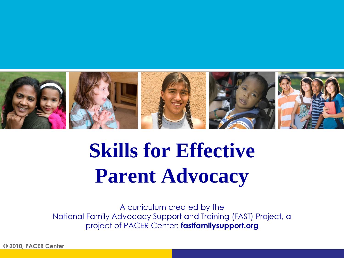

# **Skills for Effective Parent Advocacy**

A curriculum created by the National Family Advocacy Support and Training (FAST) Project, a project of PACER Center: **fastfamilysupport.org**

**© 2010, PACER Center**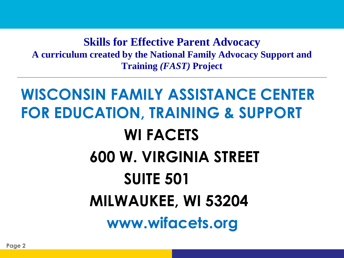**Skills for Effective Parent Advocacy A curriculum created by the National Family Advocacy Support and Training** *(FAST)* **Project**

### **WISCONSIN FAMILY ASSISTANCE CENTER FOR EDUCATION, TRAINING & SUPPORT WI FACETS 600 W. VIRGINIA STREET SUITE 501 MILWAUKEE, WI 53204 www.wifacets.org**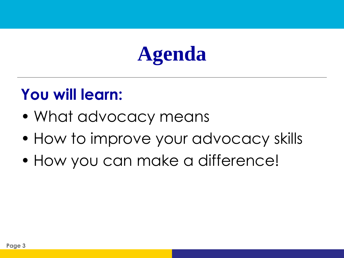## **Agenda**

### **You will learn:**

- What advocacy means
- How to improve your advocacy skills
- How you can make a difference!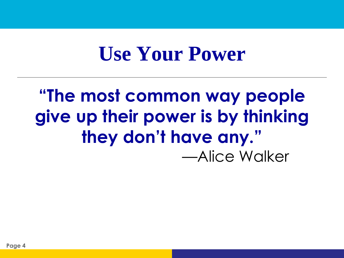### **Use Your Power**

### **"The most common way people give up their power is by thinking they don't have any."**  —Alice Walker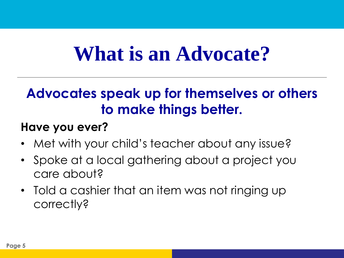## **What is an Advocate?**

### **Advocates speak up for themselves or others to make things better.**

#### **Have you ever?**

- Met with your child's teacher about any issue?
- Spoke at a local gathering about a project you care about?
- Told a cashier that an item was not ringing up correctly?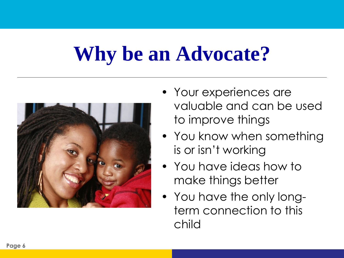## **Why be an Advocate?**



- Your experiences are valuable and can be used to improve things
- You know when something is or isn't working
- You have ideas how to make things better
- You have the only longterm connection to this child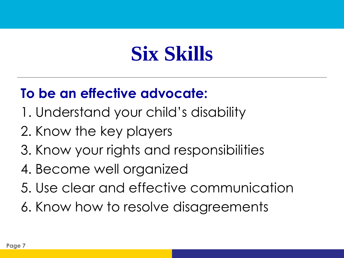## **Six Skills**

### **To be an effective advocate:**

- 1. Understand your child's disability
- 2. Know the key players
- 3. Know your rights and responsibilities
- 4. Become well organized
- 5. Use clear and effective communication
- 6. Know how to resolve disagreements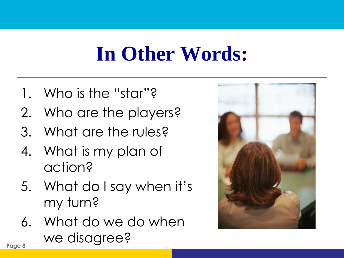## **In Other Words:**

- 1. Who is the "star"?
- 2. Who are the players?
- 3. What are the rules?
- 4. What is my plan of action?
- 5. What do I say when it's my turn?
- 6. What do we do when Page 8<br>**Page 8**

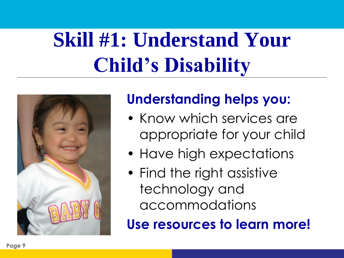# **Skill #1: Understand Your Child's Disability**



#### **Understanding helps you:**

- Know which services are appropriate for your child
- Have high expectations
- Find the right assistive technology and accommodations

**Use resources to learn more!**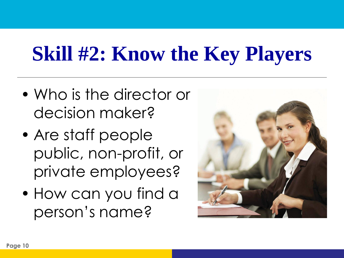## **Skill #2: Know the Key Players**

- Who is the director or decision maker?
- Are staff people public, non-profit, or private employees?
- How can you find a person's name?

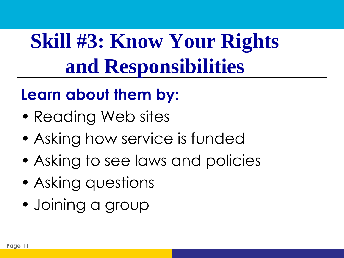# **Skill #3: Know Your Rights and Responsibilities**

### **Learn about them by:**

- Reading Web sites
- Asking how service is funded
- Asking to see laws and policies
- Asking questions
- Joining a group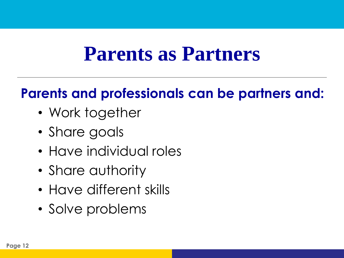### **Parents as Partners**

### **Parents and professionals can be partners and:**

- Work together
- Share goals
- Have individual roles
- Share authority
- Have different skills
- Solve problems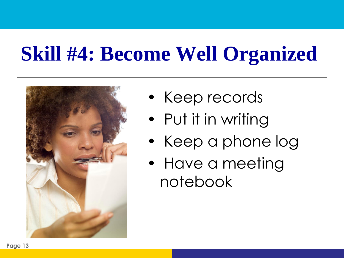# **Skill #4: Become Well Organized**



- Keep records
- Put it in writing
- Keep a phone log
- Have a meeting notebook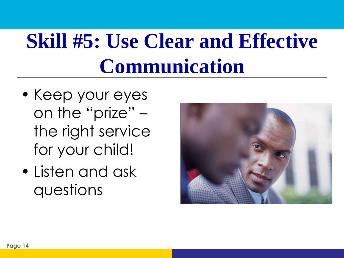# **Skill #5: Use Clear and Effective Communication**

- Keep your eyes on the "prize" – the right service for your child!
- Listen and ask questions

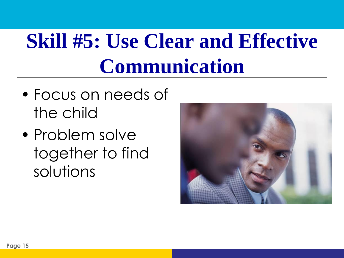# **Skill #5: Use Clear and Effective Communication**

- Focus on needs of the child
- Problem solve together to find solutions

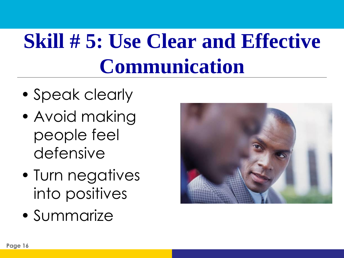# **Skill # 5: Use Clear and Effective Communication**

- Speak clearly
- Avoid making people feel defensive
- Turn negatives into positives
- Summarize

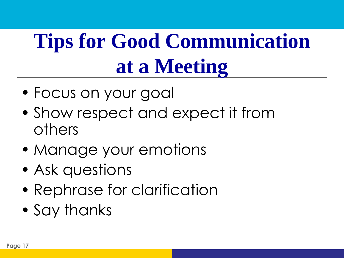# **Tips for Good Communication at a Meeting**

- Focus on your goal
- Show respect and expect it from others
- Manage your emotions
- Ask questions
- Rephrase for clarification
- Say thanks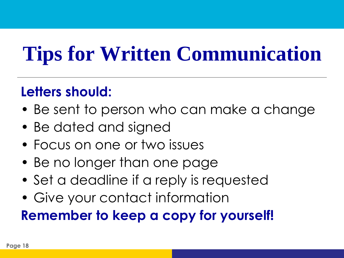## **Tips for Written Communication**

### **Letters should:**

- Be sent to person who can make a change
- Be dated and signed
- Focus on one or two issues
- Be no longer than one page
- Set a deadline if a reply is requested
- Give your contact information

**Remember to keep a copy for yourself!**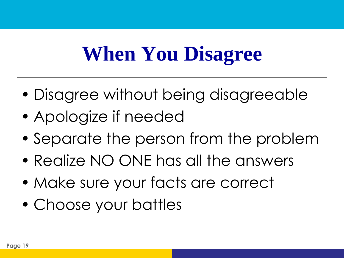## **When You Disagree**

- Disagree without being disagreeable
- Apologize if needed
- Separate the person from the problem
- Realize NO ONE has all the answers
- Make sure your facts are correct
- Choose your battles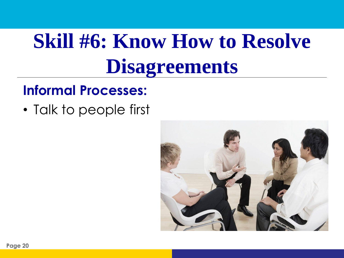## **Skill #6: Know How to Resolve Disagreements**

#### **Informal Processes:**

• Talk to people first

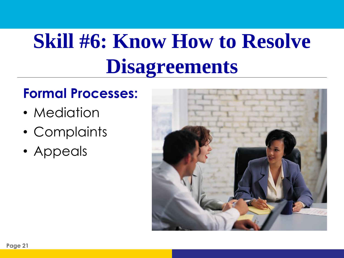# **Skill #6: Know How to Resolve Disagreements**

#### **Formal Processes:**

- Mediation
- Complaints
- Appeals

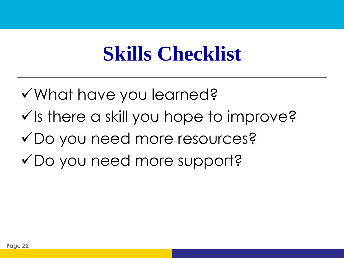## **Skills Checklist**

What have you learned?  $\checkmark$  is there a skill you hope to improve? Do you need more resources? Do you need more support?